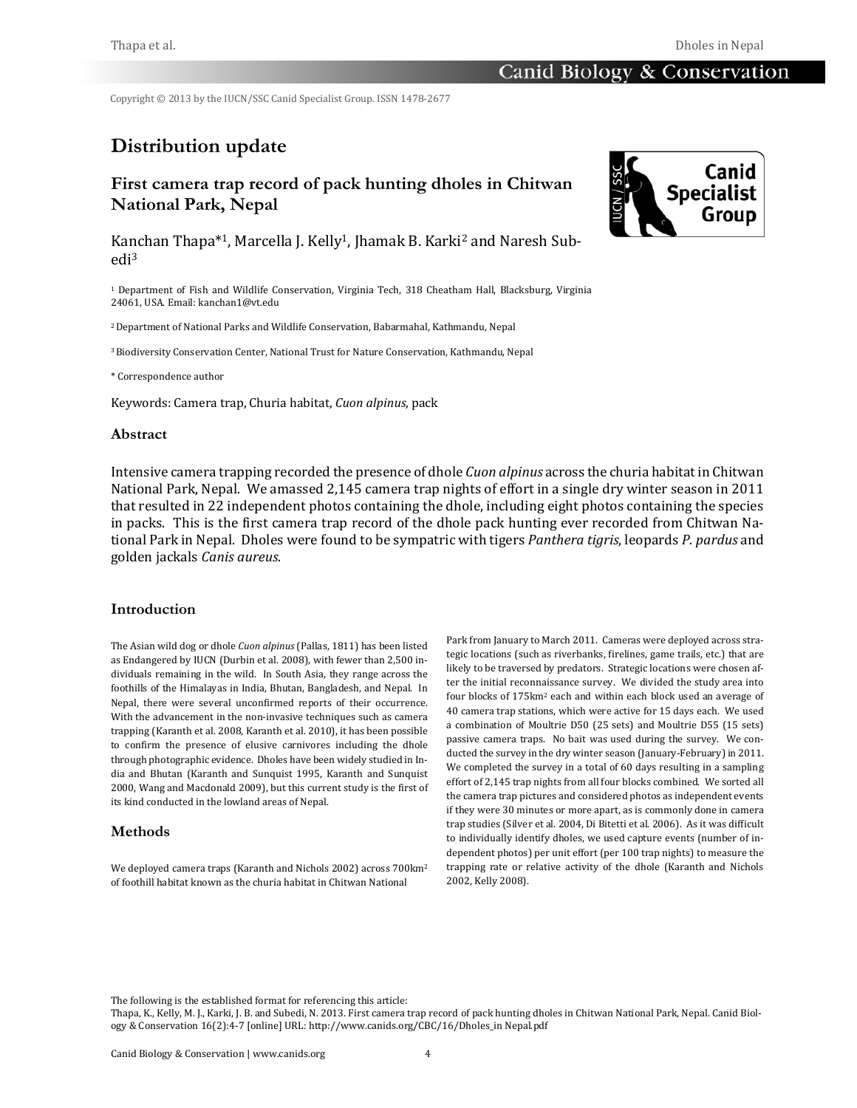Copyright  $@$  2013 by the IUCN/SSC Canid Specialist Group. ISSN 1478-2677

# **Distribution update**

# **First camera trap record of pack hunting dholes in Chitwan National Park, Nepal**

Kanchan Thapa<sup>\*1</sup>, Marcella J. Kelly<sup>1</sup>, Jhamak B. Karki<sup>2</sup> and Naresh Subedi3

<sup>1</sup> Department of Fish and Wildlife Conservation, Virginia Tech, 318 Cheatham Hall, Blacksburg, Virginia 24061, USA. Email: kanchan1@vt.edu

<sup>2</sup> Department of National Parks and Wildlife Conservation, Babarmahal, Kathmandu, Nepal

<sup>3</sup> Biodiversity Conservation Center, National Trust for Nature Conservation, Kathmandu, Nepal

\* Correspondence author 

Keywords: Camera trap, Churia habitat, *Cuon alpinus*, pack

#### **Abstract**

Intensive camera trapping recorded the presence of dhole *Cuon alpinus* across the churia habitat in Chitwan National Park, Nepal. We amassed 2,145 camera trap nights of effort in a single dry winter season in 2011 that resulted in 22 independent photos containing the dhole, including eight photos containing the species in packs. This is the first camera trap record of the dhole pack hunting ever recorded from Chitwan National Park in Nepal. Dholes were found to be sympatric with tigers *Panthera tigris*, leopards *P. pardus* and golden jackals *Canis aureus*. 

# **Introduction**

The Asian wild dog or dhole *Cuon alpinus* (Pallas, 1811) has been listed as Endangered by IUCN (Durbin et al. 2008), with fewer than 2,500 individuals remaining in the wild. In South Asia, they range across the foothills of the Himalayas in India, Bhutan, Bangladesh, and Nepal. In Nepal, there were several unconfirmed reports of their occurrence. With the advancement in the non-invasive techniques such as camera trapping (Karanth et al. 2008, Karanth et al. 2010), it has been possible to confirm the presence of elusive carnivores including the dhole through photographic evidence. Dholes have been widely studied in India and Bhutan (Karanth and Sunquist 1995, Karanth and Sunquist 2000, Wang and Macdonald 2009), but this current study is the first of its kind conducted in the lowland areas of Nepal.

### **Methods**

We deployed camera traps (Karanth and Nichols 2002) across 700km<sup>2</sup> of foothill habitat known as the churia habitat in Chitwan National

Park from January to March 2011. Cameras were deployed across strategic locations (such as riverbanks, firelines, game trails, etc.) that are likely to be traversed by predators. Strategic locations were chosen after the initial reconnaissance survey. We divided the study area into four blocks of 175km<sup>2</sup> each and within each block used an average of 40 camera trap stations, which were active for 15 days each. We used a combination of Moultrie D50 (25 sets) and Moultrie D55 (15 sets) passive camera traps. No bait was used during the survey. We conducted the survey in the dry winter season (January-February) in 2011. We completed the survey in a total of 60 days resulting in a sampling effort of 2,145 trap nights from all four blocks combined. We sorted all the camera trap pictures and considered photos as independent events if they were 30 minutes or more apart, as is commonly done in camera trap studies (Silver et al. 2004, Di Bitetti et al. 2006). As it was difficult to individually identify dholes, we used capture events (number of independent photos) per unit effort (per 100 trap nights) to measure the trapping rate or relative activity of the dhole (Karanth and Nichols 2002, Kelly 2008).

The following is the established format for referencing this article:



Thapa, K., Kelly, M. J., Karki, J. B. and Subedi, N. 2013. First camera trap record of pack hunting dholes in Chitwan National Park, Nepal. Canid Biology & Conservation 16(2):4-7 [online] URL: http://www.canids.org/CBC/16/Dholes\_in Nepal.pdf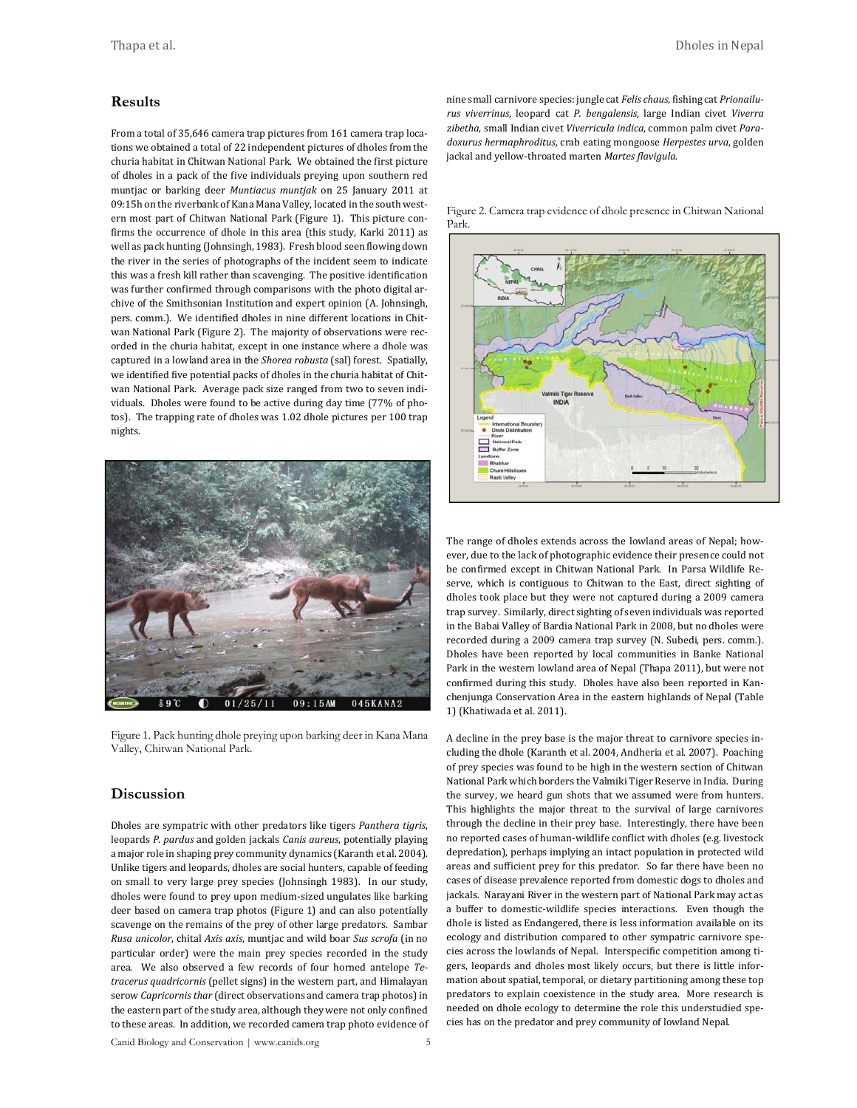#### **Results**

From a total of 35,646 camera trap pictures from 161 camera trap locations we obtained a total of 22 independent pictures of dholes from the churia habitat in Chitwan National Park. We obtained the first picture of dholes in a pack of the five individuals preying upon southern red muntjac or barking deer *Muntiacus muntjak* on 25 January 2011 at 09:15h on the riverbank of Kana Mana Valley, located in the south western most part of Chitwan National Park (Figure 1). This picture confirms the occurrence of dhole in this area (this study, Karki 2011) as well as pack hunting (Johnsingh, 1983). Fresh blood seen flowing down the river in the series of photographs of the incident seem to indicate this was a fresh kill rather than scavenging. The positive identification was further confirmed through comparisons with the photo digital archive of the Smithsonian Institution and expert opinion (A. Johnsingh, pers. comm.). We identified dholes in nine different locations in Chitwan National Park (Figure 2). The majority of observations were recorded in the churia habitat, except in one instance where a dhole was captured in a lowland area in the *Shorea robusta* (sal) forest. Spatially, we identified five potential packs of dholes in the churia habitat of Chitwan National Park. Average pack size ranged from two to seven individuals. Dholes were found to be active during day time (77% of photos). The trapping rate of dholes was 1.02 dhole pictures per 100 trap nights. 



Figure 1. Pack hunting dhole preying upon barking deer in Kana Mana Valley, Chitwan National Park.

#### **Discussion**

Dholes are sympatric with other predators like tigers *Panthera tigris*, leopards *P. pardus* and golden jackals *Canis aureus*, potentially playing a major role in shaping prey community dynamics (Karanth et al. 2004). Unlike tigers and leopards, dholes are social hunters, capable of feeding on small to very large prey species (Johnsingh 1983). In our study, dholes were found to prey upon medium-sized ungulates like barking deer based on camera trap photos (Figure 1) and can also potentially scavenge on the remains of the prey of other large predators. Sambar *Rusa unicolor*, chital *Axis axis*, muntjac and wild boar *Sus scrofa* (in no particular order) were the main prey species recorded in the study area. We also observed a few records of four horned antelope *Tetracerus quadricornis* (pellet signs) in the western part, and Himalayan serow *Capricornis thar* (direct observations and camera trap photos) in the eastern part of the study area, although they were not only confined to these areas. In addition, we recorded camera trap photo evidence of nine small carnivore species: jungle cat *Felis chaus*, fishing cat *Prionailurus viverrinus*, leopard cat *P. bengalensis*, large Indian civet *Viverra* zibetha, small Indian civet Viverricula indica, common palm civet Para*doxurus hermaphroditus*, crab eating mongoose *Herpestes urva*, golden jackal and yellow-throated marten Martes flavigula.

Figure 2. Camera trap evidence of dhole presence in Chitwan National Park.



The range of dholes extends across the lowland areas of Nepal; however, due to the lack of photographic evidence their presence could not be confirmed except in Chitwan National Park. In Parsa Wildlife Reserve, which is contiguous to Chitwan to the East, direct sighting of dholes took place but they were not captured during a 2009 camera trap survey. Similarly, direct sighting of seven individuals was reported in the Babai Valley of Bardia National Park in 2008, but no dholes were recorded during a 2009 camera trap survey (N. Subedi, pers. comm.). Dholes have been reported by local communities in Banke National Park in the western lowland area of Nepal (Thapa 2011), but were not confirmed during this study. Dholes have also been reported in Kanchenjunga Conservation Area in the eastern highlands of Nepal (Table 1) (Khatiwada et al. 2011).

A decline in the prey base is the major threat to carnivore species including the dhole (Karanth et al. 2004, Andheria et al. 2007). Poaching of prey species was found to be high in the western section of Chitwan National Park which borders the Valmiki Tiger Reserve in India. During the survey, we heard gun shots that we assumed were from hunters. This highlights the major threat to the survival of large carnivores through the decline in their prey base. Interestingly, there have been no reported cases of human-wildlife conflict with dholes (e.g. livestock depredation), perhaps implying an intact population in protected wild areas and sufficient prey for this predator. So far there have been no cases of disease prevalence reported from domestic dogs to dholes and jackals. Narayani River in the western part of National Park may act as a buffer to domestic-wildlife species interactions. Even though the dhole is listed as Endangered, there is less information available on its ecology and distribution compared to other sympatric carnivore species across the lowlands of Nepal. Interspecific competition among tigers, leopards and dholes most likely occurs, but there is little information about spatial, temporal, or dietary partitioning among these top predators to explain coexistence in the study area. More research is needed on dhole ecology to determine the role this understudied species has on the predator and prey community of lowland Nepal.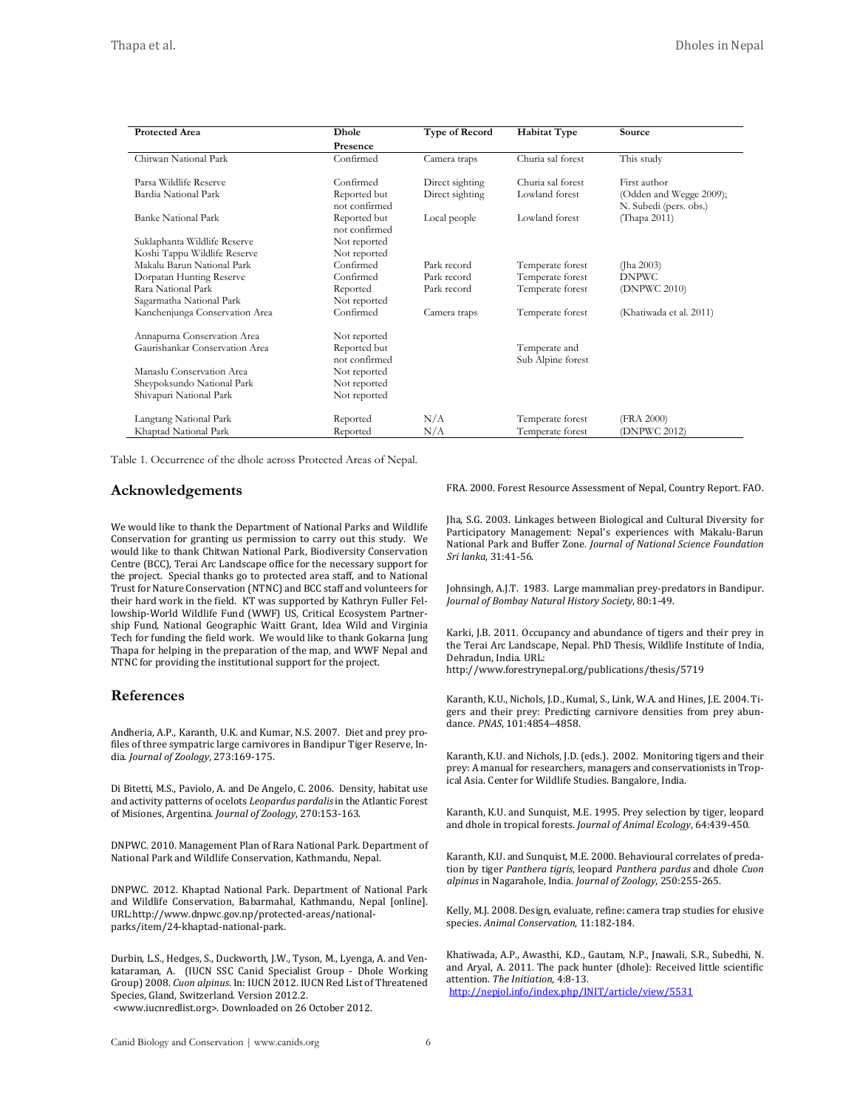| <b>Protected Area</b>          | Dhole                         | <b>Type of Record</b> | <b>Habitat Type</b>                | Source                                            |
|--------------------------------|-------------------------------|-----------------------|------------------------------------|---------------------------------------------------|
|                                | Presence                      |                       |                                    |                                                   |
| Chitwan National Park          | Confirmed                     | Camera traps          | Churia sal forest                  | This study                                        |
| Parsa Wildlife Reserve         | Confirmed                     | Direct sighting       | Churia sal forest                  | First author                                      |
| Bardia National Park           | Reported but<br>not confirmed | Direct sighting       | Lowland forest                     | (Odden and Wegge 2009);<br>N. Subedi (pers. obs.) |
| <b>Banke National Park</b>     | Reported but<br>not confirmed | Local people          | Lowland forest                     | (Thapa 2011)                                      |
| Suklaphanta Wildlife Reserve   | Not reported                  |                       |                                    |                                                   |
| Koshi Tappu Wildlife Reserve   | Not reported                  |                       |                                    |                                                   |
| Makalu Barun National Park     | Confirmed                     | Park record           | Temperate forest                   | (Jha $2003$ )                                     |
| Dorpatan Hunting Reserve       | Confirmed                     | Park record           | Temperate forest                   | <b>DNPWC</b>                                      |
| Rara National Park             | Reported                      | Park record           | Temperate forest                   | (DNPWC 2010)                                      |
| Sagarmatha National Park       | Not reported                  |                       |                                    |                                                   |
| Kanchenjunga Conservation Area | Confirmed                     | Camera traps          | Temperate forest                   | (Khatiwada et al. 2011)                           |
| Annapurna Conservation Area    | Not reported                  |                       |                                    |                                                   |
| Gaurishankar Conservation Area | Reported but<br>not confirmed |                       | Temperate and<br>Sub Alpine forest |                                                   |
| Manaslu Conservation Area      | Not reported                  |                       |                                    |                                                   |
| Sheypoksundo National Park     | Not reported                  |                       |                                    |                                                   |
| Shivapuri National Park        | Not reported                  |                       |                                    |                                                   |
| Langtang National Park         | Reported                      | N/A                   | Temperate forest                   | (FRA 2000)                                        |
| Khaptad National Park          | Reported                      | N/A                   | Temperate forest                   | (DNPWC 2012)                                      |

Table 1. Occurrence of the dhole across Protected Areas of Nepal.

#### **Acknowledgements**

We would like to thank the Department of National Parks and Wildlife Conservation for granting us permission to carry out this study. We would like to thank Chitwan National Park, Biodiversity Conservation Centre (BCC), Terai Arc Landscape office for the necessary support for the project. Special thanks go to protected area staff, and to National Trust for Nature Conservation (NTNC) and BCC staff and volunteers for their hard work in the field. KT was supported by Kathryn Fuller Fellowship-World Wildlife Fund (WWF) US, Critical Ecosystem Partnership Fund, National Geographic Waitt Grant, Idea Wild and Virginia Tech for funding the field work. We would like to thank Gokarna Jung Thapa for helping in the preparation of the map, and WWF Nepal and NTNC for providing the institutional support for the project.

#### **References**

Andheria, A.P., Karanth, U.K. and Kumar, N.S. 2007. Diet and prey profiles of three sympatric large carnivores in Bandipur Tiger Reserve, India. *Journal of Zoology*, 273:169‐175.

Di Bitetti, M.S., Paviolo, A. and De Angelo, C. 2006. Density, habitat use and activity patterns of ocelots *Leopardus pardalis* in the Atlantic Forest of Misiones, Argentina. *Journal of Zoology*, 270:153‐163.

DNPWC. 2010. Management Plan of Rara National Park. Department of National Park and Wildlife Conservation, Kathmandu, Nepal.

DNPWC. 2012. Khaptad National Park. Department of National Park and Wildlife Conservation, Babarmahal, Kathmandu, Nepal Jonline]. URL:http://www.dnpwc.gov.np/protected‐areas/national‐ parks/item/24‐khaptad‐national‐park.

Durbin, L.S., Hedges, S., Duckworth, J.W., Tyson, M., Lyenga, A. and Venkataraman, A. (IUCN SSC Canid Specialist Group - Dhole Working Group) 2008. *Cuon alpinus*. In: IUCN 2012. IUCN Red List of Threatened Species, Gland, Switzerland. Version 2012.2.

 <www.iucnredlist.org>. Downloaded on 26 October 2012.

FRA. 2000. Forest Resource Assessment of Nepal, Country Report. FAO.

Jha, S.G. 2003. Linkages between Biological and Cultural Diversity for Participatory Management: Nepal's experiences with Makalu-Barun National Park and Buffer Zone*. Journal of National Science Foundation Sri lanka*, 31:41‐56.

Iohnsingh, A.J.T. 1983. Large mammalian prey-predators in Bandipur. *Journal of Bombay Natural History Society*, 80:1‐49.

Karki, J.B. 2011. Occupancy and abundance of tigers and their prey in the Terai Arc Landscape, Nepal. PhD Thesis, Wildlife Institute of India, Dehradun, India. URL:

http://www.forestrynepal.org/publications/thesis/5719

Karanth, K.U., Nichols, J.D., Kumal, S., Link, W.A. and Hines, J.E. 2004. Tigers and their prey: Predicting carnivore densities from prey abundance. *PNAS*, 101:4854-4858.

Karanth, K.U. and Nichols, J.D. (eds.). 2002. Monitoring tigers and their prey: A manual for researchers, managers and conservationists in Tropical Asia. Center for Wildlife Studies. Bangalore, India.

Karanth, K.U. and Sunquist, M.E. 1995. Prey selection by tiger, leopard and dhole in tropical forests. *Journal of Animal Ecology*, 64:439-450.

Karanth, K.U. and Sunquist, M.E. 2000. Behavioural correlates of predation by tiger *Panthera tigris*, leopard *Panthera pardus* and dhole *Cuon alpinus* in Nagarahole, India. *Journal of Zoology*, 250:255‐265.

Kelly, M.J. 2008. Design, evaluate, refine: camera trap studies for elusive species. *Animal Conservation*, 11:182‐184.

Khatiwada, A.P., Awasthi, K.D., Gautam, N.P., Jnawali, S.R., Subedhi, N. and Aryal, A. 2011. The pack hunter (dhole): Received little scientific attention. *The Initiation*, 4:8‐13. http://nepjol.info/index.php/INIT/article/view/5531